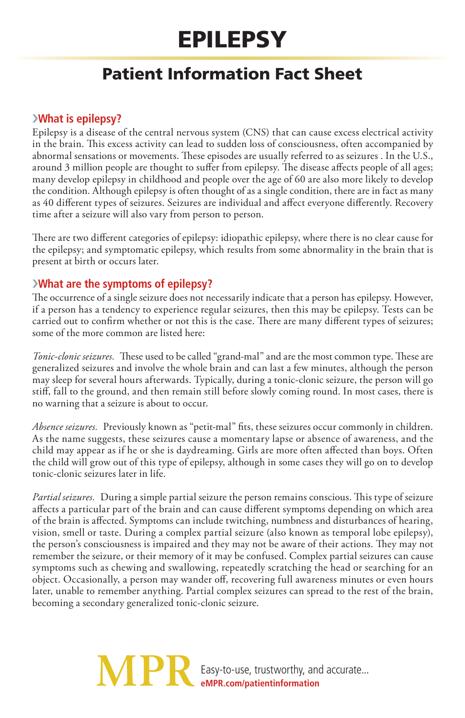# Epilepsy

# Patient Information Fact Sheet

### ›**What is epilepsy?**

Epilepsy is a disease of the central nervous system (CNS) that can cause excess electrical activity in the brain. This excess activity can lead to sudden loss of consciousness, often accompanied by abnormal sensations or movements. These episodes are usually referred to as seizures . In the U.S., around 3 million people are thought to suffer from epilepsy. The disease affects people of all ages; many develop epilepsy in childhood and people over the age of 60 are also more likely to develop the condition. Although epilepsy is often thought of as a single condition, there are in fact as many as 40 different types of seizures. Seizures are individual and affect everyone differently. Recovery time after a seizure will also vary from person to person.

There are two different categories of epilepsy: idiopathic epilepsy, where there is no clear cause for the epilepsy; and symptomatic epilepsy, which results from some abnormality in the brain that is present at birth or occurs later.

# ›**What are the symptoms of epilepsy?**

The occurrence of a single seizure does not necessarily indicate that a person has epilepsy. However, if a person has a tendency to experience regular seizures, then this may be epilepsy. Tests can be carried out to confirm whether or not this is the case. There are many different types of seizures; some of the more common are listed here:

*Tonic-clonic seizures.* These used to be called "grand-mal" and are the most common type. These are generalized seizures and involve the whole brain and can last a few minutes, although the person may sleep for several hours afterwards. Typically, during a tonic-clonic seizure, the person will go stiff, fall to the ground, and then remain still before slowly coming round. In most cases, there is no warning that a seizure is about to occur.

*Absence seizures.* Previously known as "petit-mal" fits, these seizures occur commonly in children. As the name suggests, these seizures cause a momentary lapse or absence of awareness, and the child may appear as if he or she is daydreaming. Girls are more often affected than boys. Often the child will grow out of this type of epilepsy, although in some cases they will go on to develop tonic-clonic seizures later in life.

*Partial seizures.* During a simple partial seizure the person remains conscious. This type of seizure affects a particular part of the brain and can cause different symptoms depending on which area of the brain is affected. Symptoms can include twitching, numbness and disturbances of hearing, vision, smell or taste. During a complex partial seizure (also known as temporal lobe epilepsy), the person's consciousness is impaired and they may not be aware of their actions. They may not remember the seizure, or their memory of it may be confused. Complex partial seizures can cause symptoms such as chewing and swallowing, repeatedly scratching the head or searching for an object. Occasionally, a person may wander off, recovering full awareness minutes or even hours later, unable to remember anything. Partial complex seizures can spread to the rest of the brain, becoming a secondary generalized tonic-clonic seizure.

> **MPF** Easy-to-use, trustworthy, and accurate... **eMPR.com/patientinformation**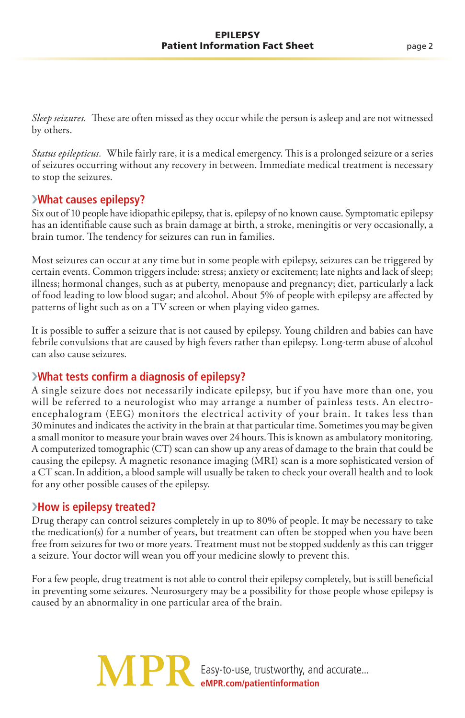*Sleep seizures.* These are often missed as they occur while the person is asleep and are not witnessed by others.

*Status epilepticus.* While fairly rare, it is a medical emergency. This is a prolonged seizure or a series of seizures occurring without any recovery in between. Immediate medical treatment is necessary to stop the seizures.

#### ›**What causes epilepsy?**

Six out of 10 people have idiopathic epilepsy, that is, epilepsy of no known cause. Symptomatic epilepsy has an identifiable cause such as brain damage at birth, a stroke, meningitis or very occasionally, a brain tumor. The tendency for seizures can run in families.

Most seizures can occur at any time but in some people with epilepsy, seizures can be triggered by certain events. Common triggers include: stress; anxiety or excitement; late nights and lack of sleep; illness; hormonal changes, such as at puberty, menopause and pregnancy; diet, particularly a lack of food leading to low blood sugar; and alcohol. About 5% of people with epilepsy are affected by patterns of light such as on a TV screen or when playing video games.

It is possible to suffer a seizure that is not caused by epilepsy. Young children and babies can have febrile convulsions that are caused by high fevers rather than epilepsy. Long-term abuse of alcohol can also cause seizures.

#### ›**What tests confirm a diagnosis of epilepsy?**

A single seizure does not necessarily indicate epilepsy, but if you have more than one, you will be referred to a neurologist who may arrange a number of painless tests. An electroencephalogram (EEG) monitors the electrical activity of your brain. It takes less than 30 minutes and indicates the activity in the brain at that particular time. Sometimes you may be given a small monitor to measure your brain waves over 24 hours. This is known as ambulatory monitoring. A computerized tomographic (CT) scan can show up any areas of damage to the brain that could be causing the epilepsy. A magnetic resonance imaging (MRI) scan is a more sophisticated version of a CT scan. In addition, a blood sample will usually be taken to check your overall health and to look for any other possible causes of the epilepsy.

#### ›**How is epilepsy treated?**

Drug therapy can control seizures completely in up to 80% of people. It may be necessary to take the medication(s) for a number of years, but treatment can often be stopped when you have been free from seizures for two or more years. Treatment must not be stopped suddenly as this can trigger a seizure. Your doctor will wean you off your medicine slowly to prevent this.

For a few people, drug treatment is not able to control their epilepsy completely, but is still beneficial in preventing some seizures. Neurosurgery may be a possibility for those people whose epilepsy is caused by an abnormality in one particular area of the brain.

> **MPF** Easy-to-use, trustworthy, and accurate... **eMPR.com/patientinformation**